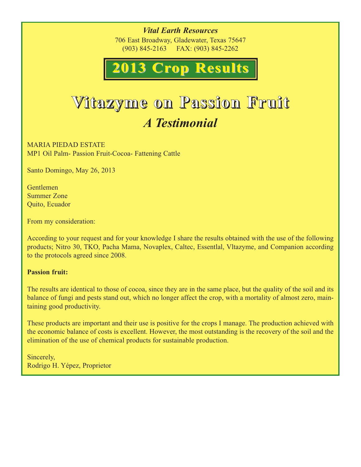*Vital Earth Resources* 706 East Broadway, Gladewater, Texas 75647 (903) 845-2163 FAX: (903) 845-2262

# **2008 Crop Results 2013 Crop Results 2013 Crop Results**

## **Vitazyme on Passion Fruit** *A Testimonial*

MARIA PIEDAD ESTATE MP1 Oil Palm- Passion Fruit-Cocoa- Fattening Cattle

Santo Domingo, May 26, 2013

Gentlemen Summer Zone Quito, Ecuador

From my consideration:

According to your request and for your knowledge I share the results obtained with the use of the following products; Nitro 30, TKO, Pacha Mama, Novaplex, Caltec, Essentlal, Vltazyme, and Companion according to the protocols agreed since 2008.

#### **Passion fruit:**

The results are identical to those of cocoa, since they are in the same place, but the quality of the soil and its balance of fungi and pests stand out, which no longer affect the crop, with a mortality of almost zero, maintaining good productivity.

These products are important and their use is positive for the crops I manage. The production achieved with the economic balance of costs is excellent. However, the most outstanding is the recovery of the soil and the elimination of the use of chemical products for sustainable production.

Sincerely, Rodrigo H. Yépez, Proprietor